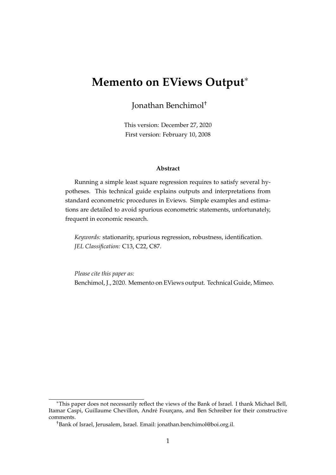# **Memento on EViews Output**

Jonathan Benchimol†

This version: December 27, 2020 First version: February 10, 2008

#### **Abstract**

Running a simple least square regression requires to satisfy several hypotheses. This technical guide explains outputs and interpretations from standard econometric procedures in Eviews. Simple examples and estimations are detailed to avoid spurious econometric statements, unfortunately, frequent in economic research.

*Keywords:* stationarity, spurious regression, robustness, identification. *JEL Classification:* C13, C22, C87.

*Please cite this paper as:* Benchimol, J., 2020. Memento on EViews output. Technical Guide, Mimeo.

This paper does not necessarily reflect the views of the Bank of Israel. I thank Michael Bell, Itamar Caspi, Guillaume Chevillon, André Fourçans, and Ben Schreiber for their constructive comments.

<sup>†</sup>Bank of Israel, Jerusalem, Israel. Email: jonathan.benchimol@boi.org.il.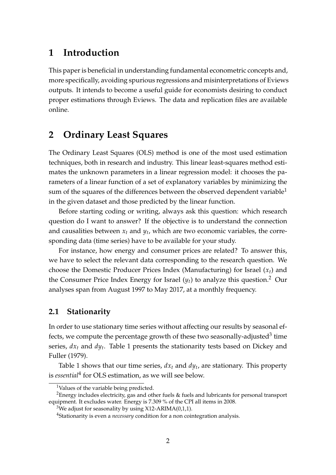## **1 Introduction**

This paper is beneficial in understanding fundamental econometric concepts and, more specifically, avoiding spurious regressions and misinterpretations of Eviews outputs. It intends to become a useful guide for economists desiring to conduct proper estimations through Eviews. The data and replication files are [available](http://www.jonathanbenchimol.com/data/research/codes/EVIEWS.zip) [online.](http://www.jonathanbenchimol.com/data/research/codes/EVIEWS.zip)

## **2 Ordinary Least Squares**

The Ordinary Least Squares (OLS) method is one of the most used estimation techniques, both in research and industry. This linear least-squares method estimates the unknown parameters in a linear regression model: it chooses the parameters of a linear function of a set of explanatory variables by minimizing the sum of the squares of the differences between the observed dependent variable<sup>[1](#page-1-0)</sup> in the given dataset and those predicted by the linear function.

Before starting coding or writing, always ask this question: which research question do I want to answer? If the objective is to understand the connection and causalities between *x<sup>t</sup>* and *y<sup>t</sup>* , which are two economic variables, the corresponding data (time series) have to be available for your study.

For instance, how energy and consumer prices are related? To answer this, we have to select the relevant data corresponding to the research question. We choose the Domestic Producer Prices Index (Manufacturing) for Israel (*xt*) and the Consumer Price Index Energy for Israel  $(y_t)$  to analyze this question.<sup>[2](#page-1-1)</sup> Our analyses span from August 1997 to May 2017, at a monthly frequency.

### **2.1 Stationarity**

In order to use stationary time series without affecting our results by seasonal effects, we compute the percentage growth of these two seasonally-adjusted $^3$  $^3$  time series, *dx<sup>t</sup>* and *dy<sup>t</sup>* . Table [1](#page-2-0) presents the stationarity tests based on [Dickey and](#page-15-0) [Fuller](#page-15-0) [\(1979\)](#page-15-0).

Table [1](#page-2-0) shows that our time series, *dx<sup>t</sup>* and *dy<sup>t</sup>* , are stationary. This property is *essential*[4](#page-1-3) for OLS estimation, as we will see below.

<span id="page-1-1"></span><span id="page-1-0"></span><sup>1</sup>Values of the variable being predicted.

<sup>&</sup>lt;sup>2</sup>Energy includes electricity, gas and other fuels  $\&$  fuels and lubricants for personal transport equipment. It excludes water. Energy is 7.309 % of the CPI all items in 2008.

<span id="page-1-2"></span><sup>&</sup>lt;sup>3</sup>We adjust for seasonality by using X12-ARIMA(0,1,1).

<span id="page-1-3"></span><sup>4</sup>Stationarity is even a *necessary* condition for a non cointegration analysis.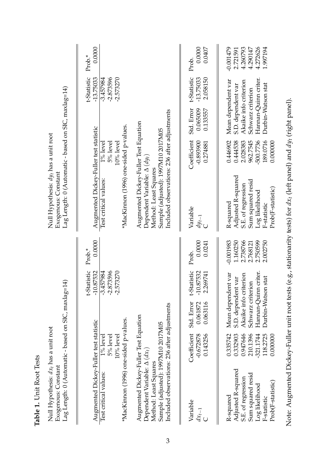| j<br>j<br>j<br>$\overline{\phantom{a}}$ |  |
|-----------------------------------------|--|
|                                         |  |
|                                         |  |
| ľ                                       |  |
|                                         |  |
|                                         |  |
|                                         |  |
|                                         |  |
| Í                                       |  |
| Ĩ.                                      |  |

| Null Hypothesis: dx <sub>t</sub> has a unit root |                     | Lag Length: 0 (Automatic - based on SIC, maxlag=14) |
|--------------------------------------------------|---------------------|-----------------------------------------------------|
|                                                  | Exogenous: Constant |                                                     |

<span id="page-2-0"></span>

| Lag Length: 0 (Automatic - based on SIC, maxlag=14)<br>Null Hypothesis: $dx_t$ has a unit root<br>Exogenous: Constant            |                                                                                  |                                                                                                                                      |                                           |                                                                         | Lag Length: 0 (Automatic - based on SIC, maxlag=14)<br>Null Hypothesis: $dy_t$ has a unit root<br>Exogenous: Constant            |                                                                                  |                                                                                                                                      |                                         |                                                                         |
|----------------------------------------------------------------------------------------------------------------------------------|----------------------------------------------------------------------------------|--------------------------------------------------------------------------------------------------------------------------------------|-------------------------------------------|-------------------------------------------------------------------------|----------------------------------------------------------------------------------------------------------------------------------|----------------------------------------------------------------------------------|--------------------------------------------------------------------------------------------------------------------------------------|-----------------------------------------|-------------------------------------------------------------------------|
| Augmented Dickey-Fuller test statistic                                                                                           |                                                                                  |                                                                                                                                      | t-Statistic<br>$-10.87532$                | 0.0000<br>Prob.*                                                        | Augmented Dickey-Fuller test statistic                                                                                           |                                                                                  |                                                                                                                                      | t-Statistic<br>$-13.75033$              | 0.0000<br>Prob.*                                                        |
| *MacKimon (1996) one-sided p-values.<br>Test critical values:                                                                    | $1\%$ level<br>5% level<br>$10\%$ level                                          |                                                                                                                                      | $-2.873596$<br>$-2.573270$<br>$-3.457984$ |                                                                         | *MacKinnon (1996) one-sided p-values.<br>Test critical values:                                                                   | 5% level<br>$10\%$ level<br>$1\%$ level                                          |                                                                                                                                      | $-2.873596$<br>$-2.573270$<br>-3.457984 |                                                                         |
| Augmented Dickey-Fuller Test Equation<br>Dependent Variable: $\Delta \left( dx_t \right)$                                        |                                                                                  |                                                                                                                                      |                                           |                                                                         | Augmented Dickey-Fuller Test Equation<br>Dependent Variable: $\Delta (dy_t)$                                                     |                                                                                  |                                                                                                                                      |                                         |                                                                         |
| Included observations: 236 after adjustments<br>Sample (adjusted): 1997M10 2017M05<br>Method: Least Squares                      |                                                                                  |                                                                                                                                      |                                           |                                                                         | Included observations: 236 after adjustments<br>Sample (adjusted): 1997M10 2017M05<br>Method: Least Squares                      |                                                                                  |                                                                                                                                      |                                         |                                                                         |
| Variable<br>$dx_{t-1}$                                                                                                           | Coefficient<br>$-0.672878$<br>0.143256                                           | Std. Error<br>0.061872<br>0.063116                                                                                                   | t-Statistic<br>$-10.87532$<br>2.269741    | 0.0000<br>0.0241<br>Prob.                                               | Variable<br>$dy_{t-1}$                                                                                                           | Coefficient<br>-0.893900<br>0.274881                                             | Std. Error<br>0.065009<br>0.133557                                                                                                   | t-Statistic<br>$-13.75033$<br>2.058150  | 0.0000<br>0.0407<br>Prob.                                               |
| Adjusted R-squared<br>Sum squared resid<br>S.E. of regression<br>Prob(F-statistic)<br>Log likelihood<br>R-squared<br>F-statistic | 0.335742<br>0.332903<br>210.1396<br>0.947646<br>321.1744<br>118.2725<br>0.000000 | Hannan-Quinn criter.<br>Mean dependent var<br>Akaike info criterion<br>Durbin-Watson stat<br>S.D. dependent var<br>Schwarz criterion |                                           | 2.738766<br>$-0.001983$<br>1.160250<br>2.750599<br>2.002750<br>2.768121 | Adjusted R-squared<br>Sum squared resid<br>S.E. of regression<br>Prob(F-statistic)<br>Log likelihood<br>R-squared<br>F-statistic | 0.446902<br>500.7736<br>189.0716<br>0.444538<br>2.028383<br>962.7545<br>0.000000 | Hannan-Quinn criter.<br>Mean dependent var<br>Akaike info criterion<br>Durbin-Watson stat<br>S.D. dependent var<br>Schwarz criterion |                                         | 4.272626<br>4.260793<br>$-0.001479$<br>4.290147<br>1.997194<br>2.721591 |

Note: Augmented Dickey-Fuller unit root tests (e.g., stationarity tests) for  $dx_t$  (left panel) and  $dy_t$  (right panel). Note: Augmented Dickey-Fuller unit root tests (e.g., stationarity tests) for *dxt* (left panel) and *dyt* (right panel).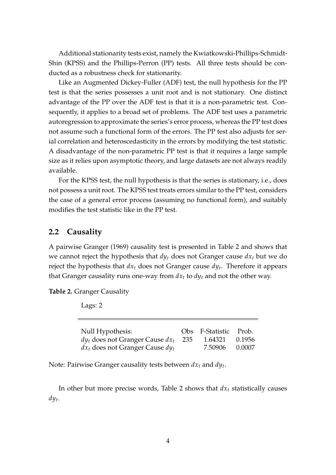Additional stationarity tests exist, namely the Kwiatkowski-Phillips-Schmidt-Shin (KPSS) and the Phillips-Perron (PP) tests. All three tests should be conducted as a robustness check for stationarity.

Like an Augmented Dickey-Fuller (ADF) test, the null hypothesis for the PP test is that the series possesses a unit root and is not stationary. One distinct advantage of the PP over the ADF test is that it is a non-parametric test. Consequently, it applies to a broad set of problems. The ADF test uses a parametric autoregression to approximate the series's error process, whereas the PP test does not assume such a functional form of the errors. The PP test also adjusts for serial correlation and heteroscedasticity in the errors by modifying the test statistic. A disadvantage of the non-parametric PP test is that it requires a large sample size as it relies upon asymptotic theory, and large datasets are not always readily available.

For the KPSS test, the null hypothesis is that the series is stationary, i.e., does not possess a unit root. The KPSS test treats errors similar to the PP test, considers the case of a general error process (assuming no functional form), and suitably modifies the test statistic like in the PP test.

#### **2.2 Causality**

A pairwise [Granger](#page-15-1) [\(1969\)](#page-15-1) causality test is presented in Table [2](#page-3-0) and shows that we cannot reject the hypothesis that  $dy_t$  does not Granger cause  $dx_t$  but we do reject the hypothesis that *dx<sup>t</sup>* does not Granger cause *dy<sup>t</sup>* . Therefore it appears that Granger causality runs one-way from  $dx_t$  to  $dy_t$  and not the other way.

<span id="page-3-0"></span>**Table 2.** Granger Causality

Lags: 2

| Null Hypothesis:                         | Obs F-Statistic Prob. |        |
|------------------------------------------|-----------------------|--------|
| $dy_t$ does not Granger Cause $dx_t$ 235 | 1.64321 0.1956        |        |
| $dx_t$ does not Granger Cause $dy_t$     | 7.50906               | 0.0007 |

Note: Pairwise Granger causality tests between *dx<sup>t</sup>* and *dy<sup>t</sup>* .

In other but more precise words, Table [2](#page-3-0) shows that  $dx_t$  statistically causes *dy<sup>t</sup>* .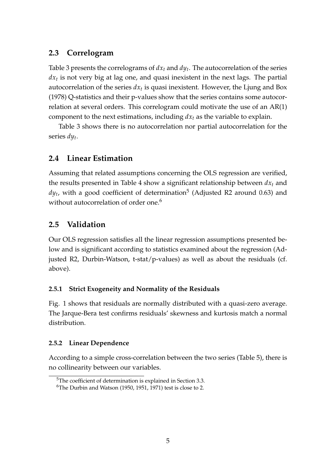### **2.3 Correlogram**

Table [3](#page-5-0) presents the correlograms of  $dx_t$  and  $dy_t$ . The autocorrelation of the series *dx<sup>t</sup>* is not very big at lag one, and quasi inexistent in the next lags. The partial autocorrelation of the series *dx<sup>t</sup>* is quasi inexistent. However, the [Ljung and Box](#page-15-2) [\(1978\)](#page-15-2) Q-statistics and their p-values show that the series contains some autocorrelation at several orders. This correlogram could motivate the use of an AR(1) component to the next estimations, including *dx<sup>t</sup>* as the variable to explain.

Table [3](#page-5-0) shows there is no autocorrelation nor partial autocorrelation for the series *dy<sup>t</sup>* .

### **2.4 Linear Estimation**

Assuming that related assumptions concerning the OLS regression are verified, the results presented in Table [4](#page-6-0) show a significant relationship between  $dx_t$  and  $dy_t$ , with a good coefficient of determination $^5$  $^5$  (Adjusted R2 around 0.63) and without autocorrelation of order one.<sup>[6](#page-4-1)</sup>

### **2.5 Validation**

Our OLS regression satisfies all the linear regression assumptions presented below and is significant according to statistics examined about the regression (Adjusted R2, Durbin-Watson, t-stat/p-values) as well as about the residuals (cf. above).

#### **2.5.1 Strict Exogeneity and Normality of the Residuals**

Fig. [1](#page-6-1) shows that residuals are normally distributed with a quasi-zero average. The Jarque-Bera test confirms residuals' skewness and kurtosis match a normal distribution.

#### **2.5.2 Linear Dependence**

According to a simple cross-correlation between the two series (Table [5\)](#page-7-0), there is no collinearity between our variables.

<span id="page-4-0"></span><sup>&</sup>lt;sup>5</sup>The coefficient of determination is explained in Section [3.3.](#page-10-0)

<span id="page-4-1"></span><sup>&</sup>lt;sup>6</sup>The [Durbin and Watson](#page-15-3) [\(1950,](#page-15-3) [1951,](#page-15-4) [1971\)](#page-15-5) test is close to 2.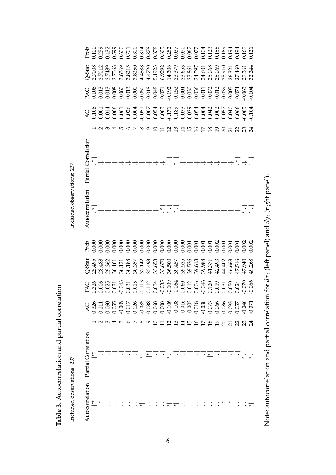Table 3. Autocorrelation and partial correlation **Table 3.** Autocorrelation and partial correlation

Included observations: 237 Included observations: 237

Included observations: 237

Included observations: 237

 $\overline{\phantom{a}}$ 

<span id="page-5-0"></span>

|                                                                                                                                                                                                                                   |  |  |  | 10 O N O | ᠪ       |  |  | 으 크                                                                                                                                                                                                                                                                                                                 | ⊡ |  | $\frac{8}{2}$ | $\overline{0}$ | $\Omega$               | 732                         |  |
|-----------------------------------------------------------------------------------------------------------------------------------------------------------------------------------------------------------------------------------|--|--|--|----------|---------|--|--|---------------------------------------------------------------------------------------------------------------------------------------------------------------------------------------------------------------------------------------------------------------------------------------------------------------------|---|--|---------------|----------------|------------------------|-----------------------------|--|
| Partial Correlation                                                                                                                                                                                                               |  |  |  |          |         |  |  | $\frac{1}{\cdot}$ $\frac{1}{\cdot}$ $\frac{1}{\cdot}$ $\frac{1}{\cdot}$ $\frac{1}{\cdot}$ $\frac{1}{\cdot}$ $\frac{1}{\cdot}$ $\frac{1}{\cdot}$                                                                                                                                                                     |   |  |               |                | $\div\div\div\div\div$ | $\frac{1}{1}$ $\frac{*}{1}$ |  |
| Autocorrelation                                                                                                                                                                                                                   |  |  |  |          |         |  |  | $\div$                                                                                                                                                                                                                                                                                                              |   |  |               |                |                        |                             |  |
|                                                                                                                                                                                                                                   |  |  |  |          |         |  |  |                                                                                                                                                                                                                                                                                                                     |   |  |               |                |                        |                             |  |
| $\frac{1}{6}$ 5 3 3 3 5 5 7 3 8 5 5 7 3 6 5 6 7 5 6 7 6 7 9 8 6 7 6 7 6 7 6 7 9 8 7 6 7 6 7 6 7 6 7 9 8 7 6 7 6 7 6 7 7 8 9 7 6 7 7 8 9 7 7 8 9 7 7 8 7 7 8 9 7 7 8 7 7 8 7 7 8 7 7 8 7 7 8 7 7 8 7 7 8 7 7 8 7 7 8 7 7 8 7 7 8 7 |  |  |  |          |         |  |  |                                                                                                                                                                                                                                                                                                                     |   |  |               |                |                        |                             |  |
|                                                                                                                                                                                                                                   |  |  |  |          |         |  |  |                                                                                                                                                                                                                                                                                                                     |   |  |               |                |                        |                             |  |
|                                                                                                                                                                                                                                   |  |  |  |          |         |  |  |                                                                                                                                                                                                                                                                                                                     |   |  |               |                |                        |                             |  |
|                                                                                                                                                                                                                                   |  |  |  | 400K8    | $\circ$ |  |  | <u>2 ១ ។ ២ ១</u>                                                                                                                                                                                                                                                                                                    |   |  |               |                | けるりのひひおみ               |                             |  |
| Partial Correlation                                                                                                                                                                                                               |  |  |  |          |         |  |  | $\frac{1}{x}$ $\frac{1}{x}$ $\frac{1}{x}$ $\frac{1}{x}$ $\frac{1}{x}$ $\frac{1}{x}$ $\frac{1}{x}$ $\frac{1}{x}$ $\frac{1}{x}$ $\frac{1}{x}$ $\frac{1}{x}$ $\frac{1}{x}$ $\frac{1}{x}$ $\frac{1}{x}$ $\frac{1}{x}$ $\frac{1}{x}$ $\frac{1}{x}$ $\frac{1}{x}$ $\frac{1}{x}$ $\frac{1}{x}$ $\frac{1}{x}$ $\frac{1}{x}$ |   |  |               |                |                        |                             |  |
| Autocorrelation                                                                                                                                                                                                                   |  |  |  |          |         |  |  | $\frac{1}{x}$ $\frac{1}{x}$ $\frac{1}{x}$ $\frac{1}{x}$ $\frac{1}{x}$ $\frac{1}{x}$ $\frac{1}{x}$ $\frac{1}{x}$ $\frac{1}{x}$ $\frac{1}{x}$ $\frac{1}{x}$ $\frac{1}{x}$ $\frac{1}{x}$ $\frac{1}{x}$ $\frac{1}{x}$ $\frac{1}{x}$ $\frac{1}{x}$ $\frac{1}{x}$ $\frac{1}{x}$ $\frac{1}{x}$ $\frac{1}{x}$ $\frac{1}{x}$ |   |  |               |                |                        |                             |  |

Note: autocorrelation and partial correlation for  $dx_t$  (left panel) and  $dy_t$  (right panel). Note: autocorrelation and partial correlation for  $dx_t$  (left panel) and  $dy_t$  (right panel).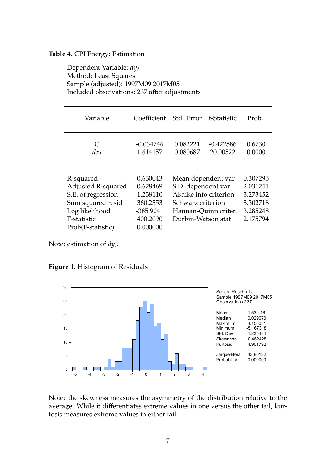#### <span id="page-6-0"></span>**Table 4.** CPI Energy: Estimation

Dependent Variable: *dy<sup>t</sup>* Method: Least Squares Sample (adjusted): 1997M09 2017M05 Included observations: 237 after adjustments

| Variable                                                                                                                         | Coefficient                                                                         | Std. Error t-Statistic                                                                                                               |                         | Prob.                                                                |
|----------------------------------------------------------------------------------------------------------------------------------|-------------------------------------------------------------------------------------|--------------------------------------------------------------------------------------------------------------------------------------|-------------------------|----------------------------------------------------------------------|
| C<br>$dx_t$                                                                                                                      | $-0.034746$<br>1.614157                                                             | 0.082221<br>0.080687                                                                                                                 | $-0.422586$<br>20.00522 | 0.6730<br>0.0000                                                     |
| R-squared<br>Adjusted R-squared<br>S.E. of regression<br>Sum squared resid<br>Log likelihood<br>F-statistic<br>Prob(F-statistic) | 0.630043<br>0.628469<br>1.238110<br>360.2353<br>$-385.9041$<br>400.2090<br>0.000000 | Mean dependent var<br>S.D. dependent var<br>Akaike info criterion<br>Schwarz criterion<br>Hannan-Quinn criter.<br>Durbin-Watson stat |                         | 0.307295<br>2.031241<br>3.273452<br>3.302718<br>3.285248<br>2.175794 |

Note: estimation of *dy<sup>t</sup>* .

<span id="page-6-1"></span>



Note: the skewness measures the asymmetry of the distribution relative to the average. While it differentiates extreme values in one versus the other tail, kurtosis measures extreme values in either tail.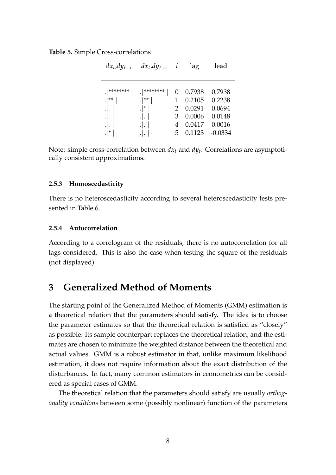#### <span id="page-7-0"></span>**Table 5.** Simple Cross-correlations

| $dx_t, dy_{t-i}$                            | $dx_t, dy_{t+i}$                                 | i           | lag                                                      | lead                                                        |
|---------------------------------------------|--------------------------------------------------|-------------|----------------------------------------------------------|-------------------------------------------------------------|
| ********<br>$.$ $ $ **<br>.ا.<br>. ا .<br>* | ********<br>$ **$<br>$\cdot  $ *<br>. ا .<br>٠١. | З<br>4<br>5 | 0.7938<br>0.2105<br>0.0291<br>0.0006<br>0.0417<br>0.1123 | 0.7938<br>0.2238<br>0.0694<br>0.0148<br>0.0016<br>$-0.0334$ |

Note: simple cross-correlation between *dx<sup>t</sup>* and *dy<sup>t</sup>* . Correlations are asymptotically consistent approximations.

#### **2.5.3 Homoscedasticity**

There is no heteroscedasticity according to several heteroscedasticity tests presented in Table [6.](#page-8-0)

#### **2.5.4 Autocorrelation**

According to a correlogram of the residuals, there is no autocorrelation for all lags considered. This is also the case when testing the square of the residuals (not displayed).

## **3 Generalized Method of Moments**

The starting point of the Generalized Method of Moments (GMM) estimation is a theoretical relation that the parameters should satisfy. The idea is to choose the parameter estimates so that the theoretical relation is satisfied as "closely" as possible. Its sample counterpart replaces the theoretical relation, and the estimates are chosen to minimize the weighted distance between the theoretical and actual values. GMM is a robust estimator in that, unlike maximum likelihood estimation, it does not require information about the exact distribution of the disturbances. In fact, many common estimators in econometrics can be considered as special cases of GMM.

The theoretical relation that the parameters should satisfy are usually *orthogonality conditions* between some (possibly nonlinear) function of the parameters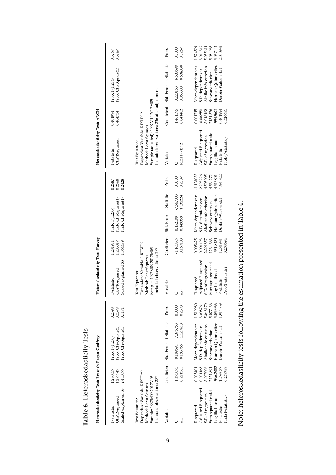<span id="page-8-0"></span>

| Table 6. Heteroskedasticity Tests                                                                                                |                                                                                  |                                                                                                                                             |                      |                                                                      |                                                                                                                                |                                                                                  |                                                                                                                                      |                         |                                                                         |                                                                                                                                                              |                                                                                       |                                                                                                                                      |                      |                                                                      |
|----------------------------------------------------------------------------------------------------------------------------------|----------------------------------------------------------------------------------|---------------------------------------------------------------------------------------------------------------------------------------------|----------------------|----------------------------------------------------------------------|--------------------------------------------------------------------------------------------------------------------------------|----------------------------------------------------------------------------------|--------------------------------------------------------------------------------------------------------------------------------------|-------------------------|-------------------------------------------------------------------------|--------------------------------------------------------------------------------------------------------------------------------------------------------------|---------------------------------------------------------------------------------------|--------------------------------------------------------------------------------------------------------------------------------------|----------------------|----------------------------------------------------------------------|
| Heteroskedasticity Test: Breusch-Pagan-Godfrey                                                                                   |                                                                                  |                                                                                                                                             |                      |                                                                      | Heteroskedasticity Test: Harvey                                                                                                |                                                                                  |                                                                                                                                      |                         |                                                                         | Heteroskedasticity Test: ARCH                                                                                                                                |                                                                                       |                                                                                                                                      |                      |                                                                      |
| Scaled explained SS<br>Obs*R-squared<br>F-statistic                                                                              | 1.279947<br>1.276037<br>2.455077                                                 | Prob. Chi-Square(1)<br>Prob. Chi-Square(1)<br>Prob. F(1,235)                                                                                |                      | 0.2598<br>0.2579<br>0.1171                                           | Scaled explained SS<br>Obs*R-squared<br>F-statistic                                                                            | 1.285827<br>1.364489<br>.281931                                                  | Prob. Chi-Square(1)<br>Prob. Chi-Square(1)<br>Prob. F(1,235)                                                                         |                         | 0.2568<br>0.2428<br>0.2587                                              | Obs*R-squared<br>F-statistic                                                                                                                                 | 0.401994<br>0.404734                                                                  | Prob. Chi-Square(1)<br>Prob. F(1,234)                                                                                                |                      | 0.5267<br>0.5247                                                     |
| Dependent Variable: RESID^2<br>Sample: 1997M09 2017M05<br>Included observations: 237<br>Method: Least Squares<br>Test Equation:  |                                                                                  |                                                                                                                                             |                      |                                                                      | Dependent Variable: LRESID2<br>Sample: 1997M09 2017M05<br>Included observations: 237<br>Method: Least Squares<br>est Equation: |                                                                                  |                                                                                                                                      |                         |                                                                         | Included observations: 236 after adjustments<br>Sample (adjusted): 1997M10 2017M05<br>Dependent Variable: RESID^2<br>Method: Least Squares<br>Test Equation: |                                                                                       |                                                                                                                                      |                      |                                                                      |
| Variable                                                                                                                         |                                                                                  | Coefficient Std. Error t-Statistic                                                                                                          |                      | Prob.                                                                | Variable                                                                                                                       | Coefficient                                                                      | Std. Error t-Statistic                                                                                                               |                         | Prob.                                                                   | Variable                                                                                                                                                     |                                                                                       | Coefficient Std. Error t-Statistic                                                                                                   |                      | Prob.                                                                |
| $dx_t$                                                                                                                           | 1.473073<br>0.221365                                                             | 0.195965<br>0.199691                                                                                                                        | 7.376753<br>1.129618 | 0.2598<br>0.0000                                                     | $dx_t$                                                                                                                         | $-1.163867$<br>0.169108                                                          | 0.152199<br>0.149359                                                                                                                 | $-7.647003$<br>1.132224 | 0.0000<br>0.2587                                                        | RESID(-1)^2                                                                                                                                                  | 1.461595<br>0.041402                                                                  | 0.220163<br>0.065300                                                                                                                 | 6.638699<br>0.634030 | 0.5267<br>0.0000                                                     |
| Adjusted R-squared<br>Sum squared resid<br>S.E. of regression<br>Prob(F-statistic)<br>Log likelihood<br>R-squared<br>F-statistic | 596.2082<br>3.007006<br>0.001168<br>1.276037<br>0.005401<br>2124.891<br>0.259789 | Hannan-Quinn criter.<br>Mean dependent var<br>Akaike info criterion<br><b>Durbin-Watson stat</b><br>S.D. dependent var<br>Schwarz criterion |                      | 1.519980<br>5.048170<br>3.008764<br>5.077436<br>5.059966<br>1.914559 | Adjusted R-squared<br>um squared resid<br>LE. of regression<br>Prob(F-statistic)<br>og likelihood<br>R-squared<br>F-statistic  | 0.005425<br>1234.363<br>0.001193<br>531.8431<br>2.291857<br>1.281931<br>0.258694 | Hannan-Quinn criter.<br>Mean dependent var<br>Akaike info criterion<br>Durbin-Watson stat<br>S.D. dependent var<br>Schwarz criterion |                         | $-1.128033$<br>2.293226<br>4.505005<br>1.685322<br>4.534272<br>4.516801 | Adjusted R-squared<br>Sum squared resid<br>S.E. of regression<br>Prob(F-statistic)<br>Log likelihood<br>R-squared<br>F-statistic                             | 0.001715<br>2131.576<br>3.018162<br>0.401994<br>$-594.5621$<br>$-0.002551$<br>0.52668 | Hannan-Quinn criter.<br>Mean dependent var<br>Akaike info criterion<br>Durbin-Watson stat<br>S.D. dependent var<br>Schwarz criterion |                      | 3.014319<br>1.524594<br>5.084966<br>2.000932<br>5.067444<br>5.055611 |

Note: heteroskedasticity tests following the estimation presented in Table 4. Note: heteroskedasticity tests following the estimation presented in Table [4.](#page-6-0)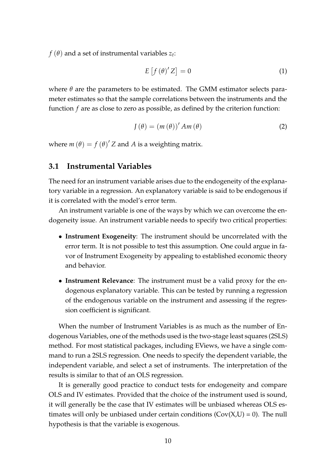$f(\theta)$  and a set of instrumental variables  $z_t$ :

$$
E\left[f\left(\theta\right)^{\prime}Z\right]=0\tag{1}
$$

where  $\theta$  are the parameters to be estimated. The GMM estimator selects parameter estimates so that the sample correlations between the instruments and the function *f* are as close to zero as possible, as defined by the criterion function:

<span id="page-9-0"></span>
$$
J(\theta) = (m(\theta))' Am(\theta)
$$
 (2)

where  $m(\theta) = f(\theta)'$  Z and  $A$  is a weighting matrix.

#### **3.1 Instrumental Variables**

The need for an instrument variable arises due to the endogeneity of the explanatory variable in a regression. An explanatory variable is said to be endogenous if it is correlated with the model's error term.

An instrument variable is one of the ways by which we can overcome the endogeneity issue. An instrument variable needs to specify two critical properties:

- **Instrument Exogeneity**: The instrument should be uncorrelated with the error term. It is not possible to test this assumption. One could argue in favor of Instrument Exogeneity by appealing to established economic theory and behavior.
- **Instrument Relevance**: The instrument must be a valid proxy for the endogenous explanatory variable. This can be tested by running a regression of the endogenous variable on the instrument and assessing if the regression coefficient is significant.

When the number of Instrument Variables is as much as the number of Endogenous Variables, one of the methods used is the two-stage least squares (2SLS) method. For most statistical packages, including EViews, we have a single command to run a 2SLS regression. One needs to specify the dependent variable, the independent variable, and select a set of instruments. The interpretation of the results is similar to that of an OLS regression.

It is generally good practice to conduct tests for endogeneity and compare OLS and IV estimates. Provided that the choice of the instrument used is sound, it will generally be the case that IV estimates will be unbiased whereas OLS estimates will only be unbiased under certain conditions  $(Cov(X,U) = 0)$ . The null hypothesis is that the variable is exogenous.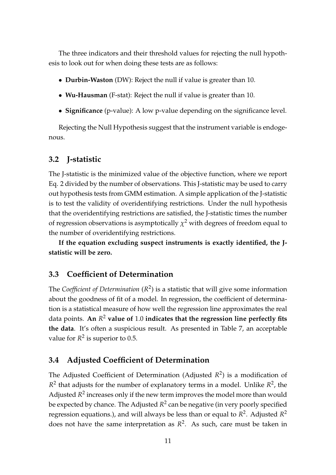The three indicators and their threshold values for rejecting the null hypothesis to look out for when doing these tests are as follows:

- **Durbin-Waston** (DW): Reject the null if value is greater than 10.
- **Wu-Hausman** (F-stat): Reject the null if value is greater than 10.
- **Significance** (p-value): A low p-value depending on the significance level.

Rejecting the Null Hypothesis suggest that the instrument variable is endogenous.

### **3.2 J-statistic**

The J-statistic is the minimized value of the objective function, where we report Eq. [2](#page-9-0) divided by the number of observations. This J-statistic may be used to carry out hypothesis tests from GMM estimation. A simple application of the J-statistic is to test the validity of overidentifying restrictions. Under the null hypothesis that the overidentifying restrictions are satisfied, the J-statistic times the number of regression observations is asymptotically  $\chi^2$  with degrees of freedom equal to the number of overidentifying restrictions.

**If the equation excluding suspect instruments is exactly identified, the Jstatistic will be zero.**

#### <span id="page-10-0"></span>**3.3 Coefficient of Determination**

The *Coefficient of Determination* (*R* 2 ) is a statistic that will give some information about the goodness of fit of a model. In regression, the coefficient of determination is a statistical measure of how well the regression line approximates the real data points. **An** *R* <sup>2</sup> **value of** 1.0 **indicates that the regression line perfectly fits the data**. It's often a suspicious result. As presented in Table [7,](#page-15-6) an acceptable value for  $R^2$  is superior to 0.5.

#### **3.4 Adjusted Coefficient of Determination**

The Adjusted Coefficient of Determination (Adjusted *R* 2 ) is a modification of  $R^2$  that adjusts for the number of explanatory terms in a model. Unlike  $R^2$ , the Adjusted  $R^2$  increases only if the new term improves the model more than would be expected by chance. The Adjusted  $R^2$  can be negative (in very poorly specified regression equations.), and will always be less than or equal to *R* 2 . Adjusted *R* 2 does not have the same interpretation as  $R^2$ . As such, care must be taken in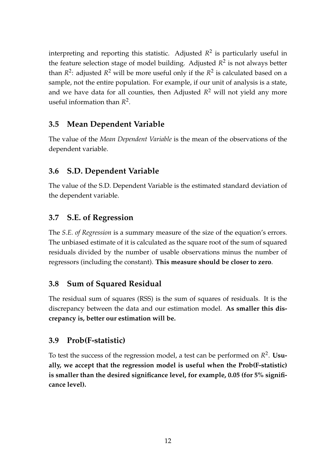interpreting and reporting this statistic. Adjusted *R* 2 is particularly useful in the feature selection stage of model building. Adjusted *R* 2 is not always better than  $R^2$ : adjusted  $R^2$  will be more useful only if the  $R^2$  is calculated based on a sample, not the entire population. For example, if our unit of analysis is a state, and we have data for all counties, then Adjusted *R* <sup>2</sup> will not yield any more useful information than *R* 2 .

### **3.5 Mean Dependent Variable**

The value of the *Mean Dependent Variable* is the mean of the observations of the dependent variable.

### **3.6 S.D. Dependent Variable**

The value of the S.D. Dependent Variable is the estimated standard deviation of the dependent variable.

#### **3.7 S.E. of Regression**

The *S.E. of Regression* is a summary measure of the size of the equation's errors. The unbiased estimate of it is calculated as the square root of the sum of squared residuals divided by the number of usable observations minus the number of regressors (including the constant). **This measure should be closer to zero**.

#### **3.8 Sum of Squared Residual**

The residual sum of squares (RSS) is the sum of squares of residuals. It is the discrepancy between the data and our estimation model. **As smaller this discrepancy is, better our estimation will be.**

#### **3.9 Prob(F-statistic)**

To test the success of the regression model, a test can be performed on *R* 2 . **Usually, we accept that the regression model is useful when the Prob(F-statistic) is smaller than the desired significance level, for example, 0.05 (for 5% significance level).**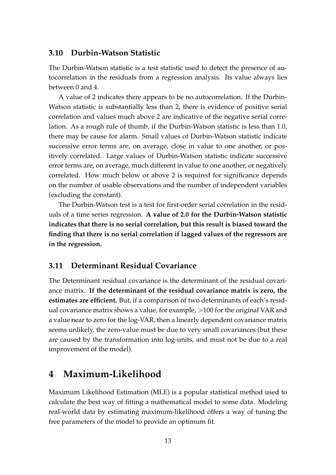#### **3.10 Durbin-Watson Statistic**

The Durbin-Watson statistic is a test statistic used to detect the presence of autocorrelation in the residuals from a regression analysis. Its value always lies between 0 and 4.

A value of 2 indicates there appears to be no autocorrelation. If the Durbin-Watson statistic is substantially less than 2, there is evidence of positive serial correlation and values much above 2 are indicative of the negative serial correlation. As a rough rule of thumb, if the Durbin-Watson statistic is less than 1.0, there may be cause for alarm. Small values of Durbin-Watson statistic indicate successive error terms are, on average, close in value to one another, or positively correlated. Large values of Durbin-Watson statistic indicate successive error terms are, on average, much different in value to one another, or negatively correlated. How much below or above 2 is required for significance depends on the number of usable observations and the number of independent variables (excluding the constant).

The Durbin-Watson test is a test for first-order serial correlation in the residuals of a time series regression. **A value of 2.0 for the Durbin-Watson statistic indicates that there is no serial correlation, but this result is biased toward the finding that there is no serial correlation if lagged values of the regressors are in the regression.**

#### **3.11 Determinant Residual Covariance**

The Determinant residual covariance is the determinant of the residual covariance matrix. **If the determinant of the residual covariance matrix is zero, the estimates are efficient.** But, if a comparison of two determinants of each's residual covariance matrix shows a value, for example, >100 for the original VAR and a value near to zero for the log-VAR, then a linearly dependent covariance matrix seems unlikely, the zero-value must be due to very small covariances (but these are caused by the transformation into log-units, and must not be due to a real improvement of the model).

## **4 Maximum-Likelihood**

Maximum Likelihood Estimation (MLE) is a popular statistical method used to calculate the best way of fitting a mathematical model to some data. Modeling real-world data by estimating maximum-likelihood offers a way of tuning the free parameters of the model to provide an optimum fit.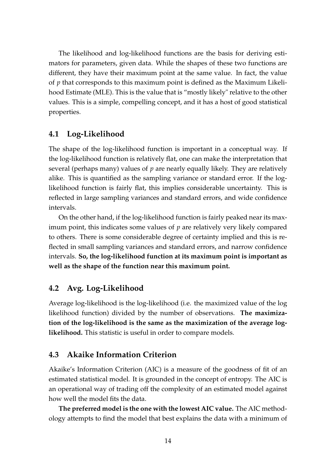The likelihood and log-likelihood functions are the basis for deriving estimators for parameters, given data. While the shapes of these two functions are different, they have their maximum point at the same value. In fact, the value of *p* that corresponds to this maximum point is defined as the Maximum Likelihood Estimate (MLE). This is the value that is "mostly likely" relative to the other values. This is a simple, compelling concept, and it has a host of good statistical properties.

### **4.1 Log-Likelihood**

The shape of the log-likelihood function is important in a conceptual way. If the log-likelihood function is relatively flat, one can make the interpretation that several (perhaps many) values of *p* are nearly equally likely. They are relatively alike. This is quantified as the sampling variance or standard error. If the loglikelihood function is fairly flat, this implies considerable uncertainty. This is reflected in large sampling variances and standard errors, and wide confidence intervals.

On the other hand, if the log-likelihood function is fairly peaked near its maximum point, this indicates some values of *p* are relatively very likely compared to others. There is some considerable degree of certainty implied and this is reflected in small sampling variances and standard errors, and narrow confidence intervals. **So, the log-likelihood function at its maximum point is important as well as the shape of the function near this maximum point.**

#### **4.2 Avg. Log-Likelihood**

Average log-likelihood is the log-likelihood (i.e. the maximized value of the log likelihood function) divided by the number of observations. **The maximization of the log-likelihood is the same as the maximization of the average loglikelihood.** This statistic is useful in order to compare models.

#### **4.3 Akaike Information Criterion**

Akaike's Information Criterion (AIC) is a measure of the goodness of fit of an estimated statistical model. It is grounded in the concept of entropy. The AIC is an operational way of trading off the complexity of an estimated model against how well the model fits the data.

**The preferred model is the one with the lowest AIC value.** The AIC methodology attempts to find the model that best explains the data with a minimum of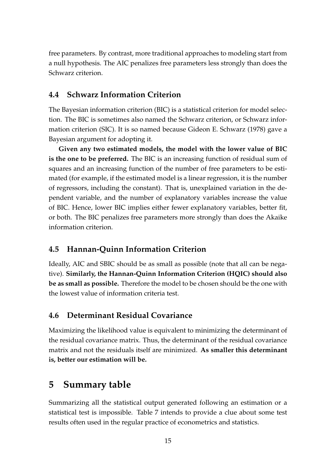free parameters. By contrast, more traditional approaches to modeling start from a null hypothesis. The AIC penalizes free parameters less strongly than does the Schwarz criterion.

## **4.4 Schwarz Information Criterion**

The Bayesian information criterion (BIC) is a statistical criterion for model selection. The BIC is sometimes also named the Schwarz criterion, or Schwarz information criterion (SIC). It is so named because Gideon E. Schwarz (1978) gave a Bayesian argument for adopting it.

**Given any two estimated models, the model with the lower value of BIC is the one to be preferred.** The BIC is an increasing function of residual sum of squares and an increasing function of the number of free parameters to be estimated (for example, if the estimated model is a linear regression, it is the number of regressors, including the constant). That is, unexplained variation in the dependent variable, and the number of explanatory variables increase the value of BIC. Hence, lower BIC implies either fewer explanatory variables, better fit, or both. The BIC penalizes free parameters more strongly than does the Akaike information criterion.

## **4.5 Hannan-Quinn Information Criterion**

Ideally, AIC and SBIC should be as small as possible (note that all can be negative). **Similarly, the Hannan-Quinn Information Criterion (HQIC) should also be as small as possible.** Therefore the model to be chosen should be the one with the lowest value of information criteria test.

## **4.6 Determinant Residual Covariance**

Maximizing the likelihood value is equivalent to minimizing the determinant of the residual covariance matrix. Thus, the determinant of the residual covariance matrix and not the residuals itself are minimized. **As smaller this determinant is, better our estimation will be.**

# **5 Summary table**

Summarizing all the statistical output generated following an estimation or a statistical test is impossible. Table [7](#page-15-6) intends to provide a clue about some test results often used in the regular practice of econometrics and statistics.